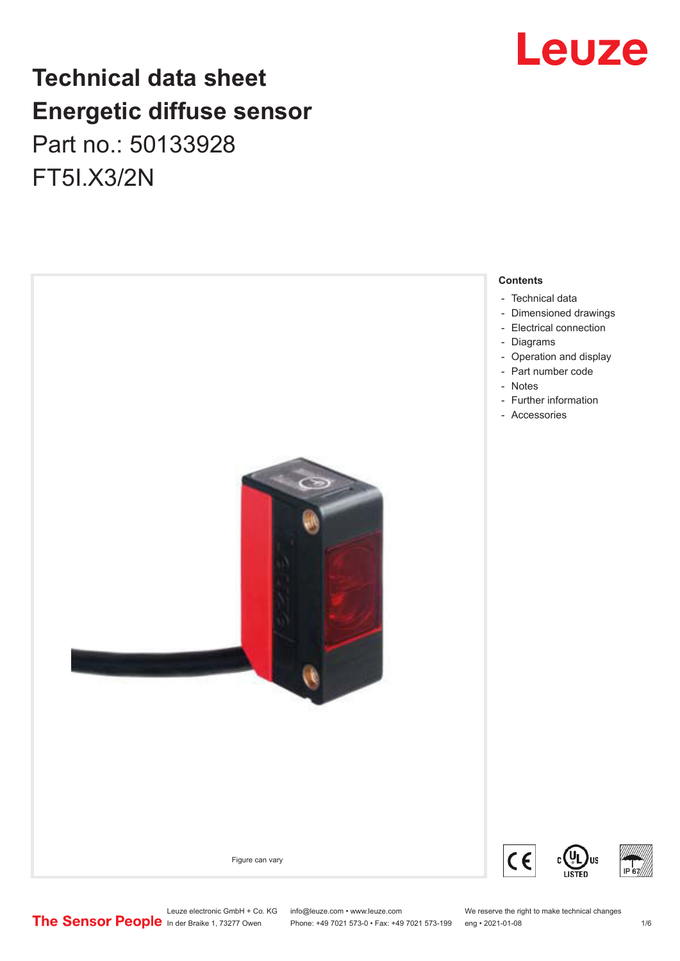## **Technical data sheet Energetic diffuse sensor** Part no.: 50133928 FT5I.X3/2N



## Leuze

- 
- 

Leuze electronic GmbH + Co. KG info@leuze.com • www.leuze.com We reserve the right to make technical changes<br>
The Sensor People in der Braike 1, 73277 Owen Phone: +49 7021 573-0 • Fax: +49 7021 573-199 eng • 2021-01-08

Phone: +49 7021 573-0 • Fax: +49 7021 573-199 eng • 2021-01-08 10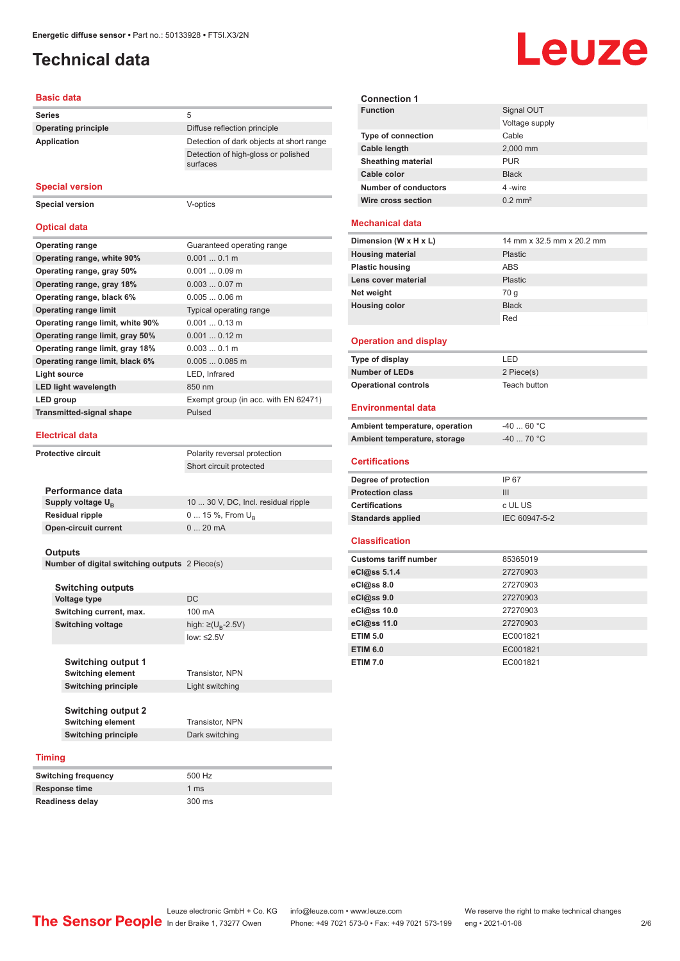## <span id="page-1-0"></span>**Technical data**

## Leuze

#### **Basic data**

| <b>Series</b>              | 5                                               |
|----------------------------|-------------------------------------------------|
| <b>Operating principle</b> | Diffuse reflection principle                    |
| Application                | Detection of dark objects at short range        |
|                            | Detection of high-gloss or polished<br>surfaces |

#### **Special version**

**Special version** V-optics

#### **Optical data**

| <b>Operating range</b>           | Guaranteed operating range           |
|----------------------------------|--------------------------------------|
| Operating range, white 90%       | 0.0010.1 m                           |
| Operating range, gray 50%        | $0.0010.09$ m                        |
| Operating range, gray 18%        | $0.0030.07$ m                        |
| Operating range, black 6%        | $0.0050.06$ m                        |
| <b>Operating range limit</b>     | Typical operating range              |
| Operating range limit, white 90% | $0.0010.13$ m                        |
| Operating range limit, gray 50%  | $0.0010.12$ m                        |
| Operating range limit, gray 18%  | $0.0030.1$ m                         |
| Operating range limit, black 6%  | $0.0050.085$ m                       |
| Light source                     | LED, Infrared                        |
| <b>LED light wavelength</b>      | 850 nm                               |
| LED group                        | Exempt group (in acc. with EN 62471) |
| <b>Transmitted-signal shape</b>  | Pulsed                               |

#### **Electrical data**

| Protective circuit | Polarity reversal protection  |                                     |
|--------------------|-------------------------------|-------------------------------------|
|                    |                               | Short circuit protected             |
|                    |                               |                                     |
|                    | Performance data              |                                     |
|                    | Supply voltage U <sub>p</sub> | 10  30 V, DC, Incl. residual ripple |
|                    | <b>Residual ripple</b>        | 0  15 %, From $U_{\rm B}$           |
|                    | <b>Open-circuit current</b>   | $020$ mA                            |
|                    |                               |                                     |

#### **Outputs**

**Number of digital switching outputs** 2 Piece(s)

|               | <b>Switching outputs</b>   |                                    |
|---------------|----------------------------|------------------------------------|
|               | Voltage type               | DC                                 |
|               | Switching current, max.    | 100 mA                             |
|               | <b>Switching voltage</b>   | high: $\geq (U_{\text{B}} - 2.5V)$ |
|               |                            | low: $\leq 2.5V$                   |
|               | <b>Switching output 1</b>  |                                    |
|               | <b>Switching element</b>   | <b>Transistor, NPN</b>             |
|               | <b>Switching principle</b> | Light switching                    |
|               | <b>Switching output 2</b>  |                                    |
|               | <b>Switching element</b>   | Transistor, NPN                    |
|               | <b>Switching principle</b> | Dark switching                     |
| <b>Timing</b> |                            |                                    |
|               | Quitabing froquenou        | $E\cap\cap L$                      |

| <b>Switching frequency</b> | 500 Hz        |
|----------------------------|---------------|
| Response time              | 1 $\text{ms}$ |
| <b>Readiness delay</b>     | 300 ms        |

| <b>Connection 1</b>       |                       |
|---------------------------|-----------------------|
| <b>Function</b>           | Signal OUT            |
|                           | Voltage supply        |
| <b>Type of connection</b> | Cable                 |
| <b>Cable length</b>       | 2,000 mm              |
| <b>Sheathing material</b> | <b>PUR</b>            |
| Cable color               | <b>Black</b>          |
| Number of conductors      | 4-wire                |
| Wire cross section        | $0.2$ mm <sup>2</sup> |
|                           |                       |

#### **Mechanical data**

| Dimension (W x H x L)   | 14 mm x 32.5 mm x 20.2 mm |
|-------------------------|---------------------------|
| <b>Housing material</b> | Plastic                   |
| <b>Plastic housing</b>  | <b>ABS</b>                |
| Lens cover material     | Plastic                   |
| Net weight              | 70 g                      |
| <b>Housing color</b>    | <b>Black</b>              |
|                         | Red                       |
|                         |                           |

#### **Operation and display**

| Type of display             | I FD         |
|-----------------------------|--------------|
| <b>Number of LEDs</b>       | 2 Piece(s)   |
| <b>Operational controls</b> | Teach button |

#### **Environmental data**

| Ambient temperature, operation | -40  60 °C |
|--------------------------------|------------|
| Ambient temperature, storage   | -40  70 °C |

#### **Certifications**

| Degree of protection     | IP 67         |
|--------------------------|---------------|
| <b>Protection class</b>  | Ш             |
| <b>Certifications</b>    | c UL US       |
| <b>Standards applied</b> | IEC 60947-5-2 |
|                          |               |

#### **Classification**

| <b>Customs tariff number</b> | 85365019 |
|------------------------------|----------|
| eCl@ss 5.1.4                 | 27270903 |
| eCl@ss 8.0                   | 27270903 |
| eCl@ss 9.0                   | 27270903 |
| eCl@ss 10.0                  | 27270903 |
| eCl@ss 11.0                  | 27270903 |
| <b>ETIM 5.0</b>              | EC001821 |
| <b>ETIM 6.0</b>              | EC001821 |
| <b>ETIM 7.0</b>              | EC001821 |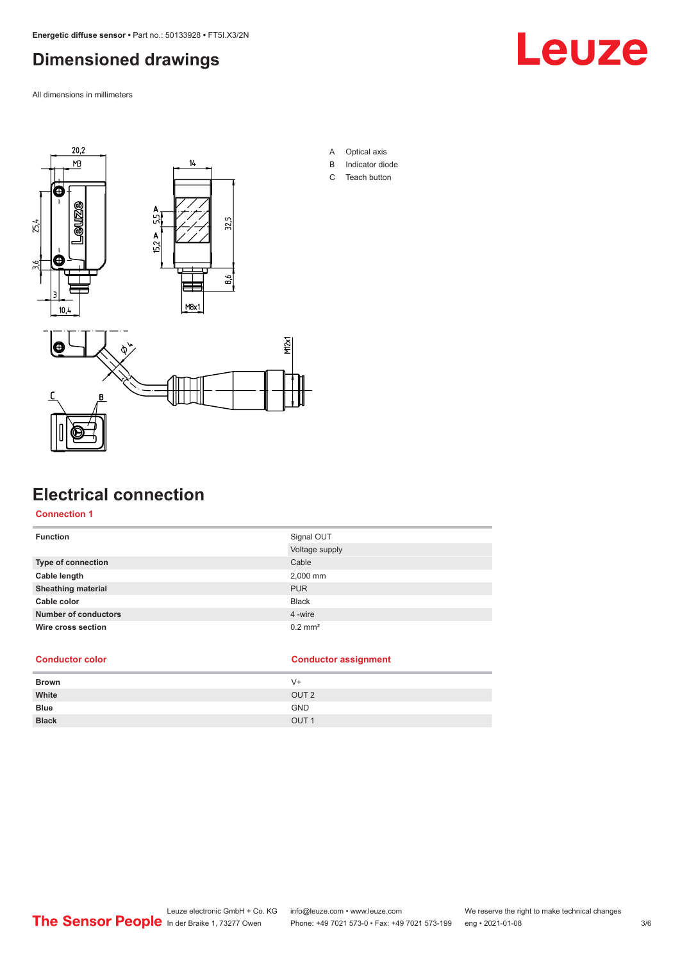## <span id="page-2-0"></span>**Dimensioned drawings**

All dimensions in millimeters





### **Electrical connection**

**Connection 1**

| <b>Function</b>             | Signal OUT            |
|-----------------------------|-----------------------|
|                             | Voltage supply        |
| <b>Type of connection</b>   | Cable                 |
| Cable length                | 2,000 mm              |
| <b>Sheathing material</b>   | <b>PUR</b>            |
| Cable color                 | <b>Black</b>          |
| <b>Number of conductors</b> | 4 -wire               |
| Wire cross section          | $0.2$ mm <sup>2</sup> |

A Optical axis B Indicator diode C Teach button

| <b>Conductor color</b> | <b>Conductor assignment</b> |
|------------------------|-----------------------------|
| <b>Brown</b>           | V+                          |
| White                  | OUT <sub>2</sub>            |
| <b>Blue</b>            | <b>GND</b>                  |
| <b>Black</b>           | OUT <sub>1</sub>            |
|                        |                             |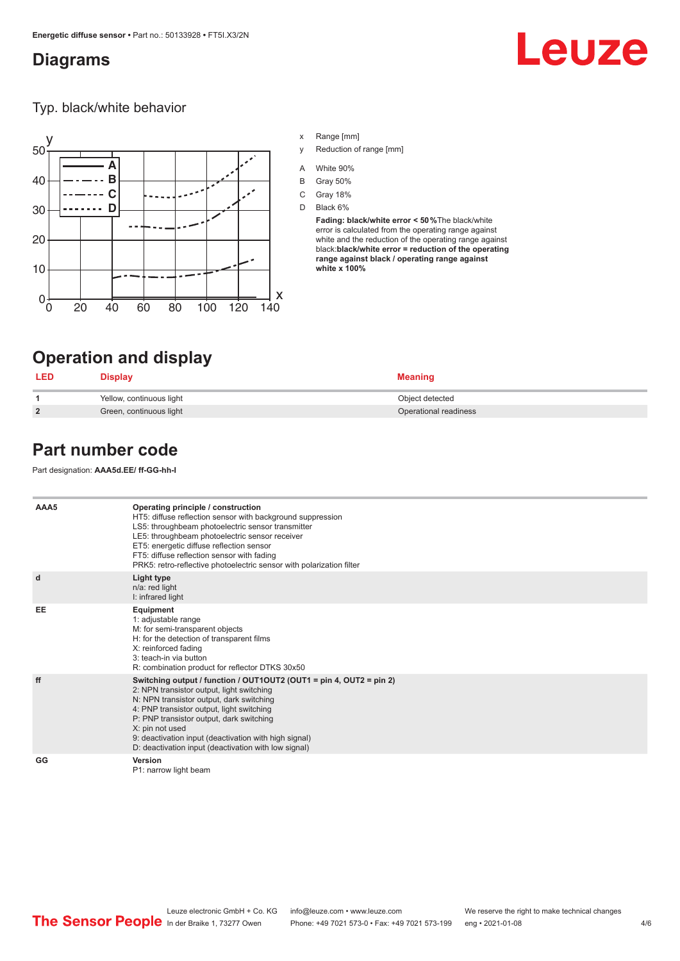#### <span id="page-3-0"></span>**Diagrams**

# Leuze

Typ. black/white behavior



- x Range [mm]
- y Reduction of range [mm]
- A White 90%
- B Gray 50%
- C Gray 18%
- D Black 6%

**Fading: black/white error < 50 %**The black/white error is calculated from the operating range against white and the reduction of the operating range against black:**black/white error = reduction of the operating range against black / operating range against white x 100%**

## **Operation and display**

|                | Jisplay                  | <b>Meaning</b>        |
|----------------|--------------------------|-----------------------|
|                | Yellow, continuous light | Object detected       |
| $\overline{2}$ | Green, continuous light  | Operational readiness |

### **Part number code**

Part designation: **AAA5d.EE/ ff-GG-hh-I**

| AAA5 | Operating principle / construction<br>HT5: diffuse reflection sensor with background suppression<br>LS5: throughbeam photoelectric sensor transmitter<br>LE5: throughbeam photoelectric sensor receiver<br>ET5: energetic diffuse reflection sensor<br>FT5: diffuse reflection sensor with fading<br>PRK5: retro-reflective photoelectric sensor with polarization filter                 |
|------|-------------------------------------------------------------------------------------------------------------------------------------------------------------------------------------------------------------------------------------------------------------------------------------------------------------------------------------------------------------------------------------------|
| d    | Light type<br>n/a: red light<br>I: infrared light                                                                                                                                                                                                                                                                                                                                         |
| EE   | Equipment<br>1: adjustable range<br>M: for semi-transparent objects<br>H: for the detection of transparent films<br>X: reinforced fading<br>3: teach-in via button<br>R: combination product for reflector DTKS 30x50                                                                                                                                                                     |
| ff   | Switching output / function / OUT1OUT2 (OUT1 = pin 4, OUT2 = pin 2)<br>2: NPN transistor output, light switching<br>N: NPN transistor output, dark switching<br>4: PNP transistor output, light switching<br>P: PNP transistor output, dark switching<br>X: pin not used<br>9: deactivation input (deactivation with high signal)<br>D: deactivation input (deactivation with low signal) |
| GG   | Version<br>P1: narrow light beam                                                                                                                                                                                                                                                                                                                                                          |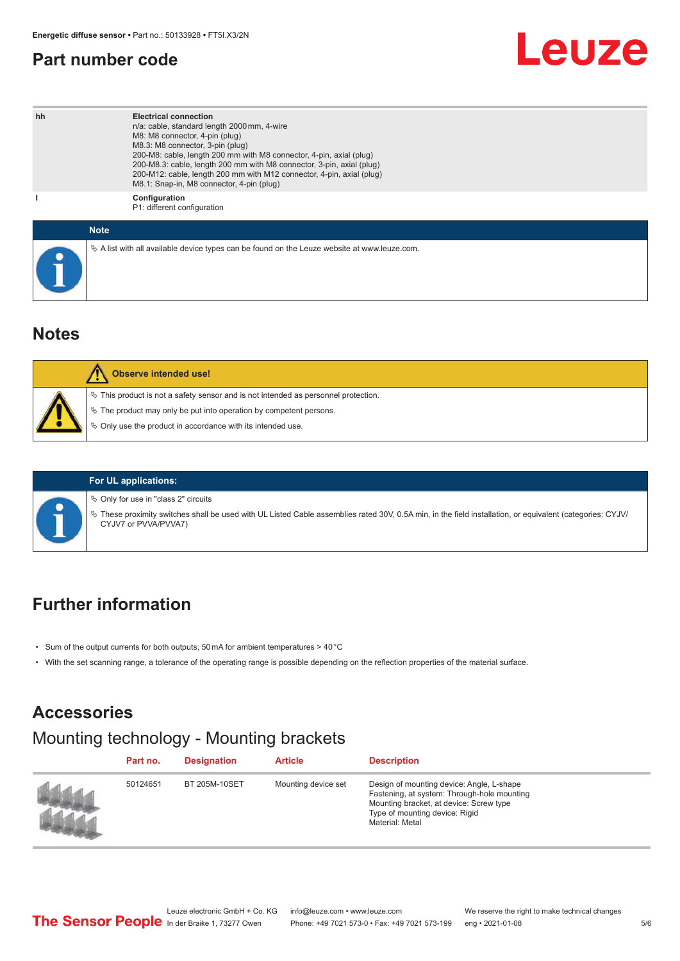### <span id="page-4-0"></span>**Part number code**

## Leuze

| hh | <b>Electrical connection</b><br>n/a: cable, standard length 2000 mm, 4-wire<br>M8: M8 connector, 4-pin (plug)<br>M8.3: M8 connector, 3-pin (plug)<br>200-M8: cable, length 200 mm with M8 connector, 4-pin, axial (plug)<br>200-M8.3: cable, length 200 mm with M8 connector, 3-pin, axial (plug)<br>200-M12: cable, length 200 mm with M12 connector, 4-pin, axial (plug)<br>M8.1: Snap-in, M8 connector, 4-pin (plug) |
|----|-------------------------------------------------------------------------------------------------------------------------------------------------------------------------------------------------------------------------------------------------------------------------------------------------------------------------------------------------------------------------------------------------------------------------|
|    | Configuration<br>P1: different configuration                                                                                                                                                                                                                                                                                                                                                                            |
|    | <b>Note</b>                                                                                                                                                                                                                                                                                                                                                                                                             |
|    | $\&$ A list with all available device types can be found on the Leuze website at www.leuze.com.                                                                                                                                                                                                                                                                                                                         |

### **Notes**

| Observe intended use!                                                                                                                                                                                                            |
|----------------------------------------------------------------------------------------------------------------------------------------------------------------------------------------------------------------------------------|
| $\%$ This product is not a safety sensor and is not intended as personnel protection.<br>$\&$ The product may only be put into operation by competent persons.<br>$\%$ Only use the product in accordance with its intended use. |

#### **For UL applications:**

 $\%$  Only for use in "class 2" circuits

ª These proximity switches shall be used with UL Listed Cable assemblies rated 30V, 0.5A min, in the field installation, or equivalent (categories: CYJV/ CYJV7 or PVVA/PVVA7)

### **Further information**

- Sum of the output currents for both outputs, 50 mA for ambient temperatures > 40 °C
- With the set scanning range, a tolerance of the operating range is possible depending on the reflection properties of the material surface.

## **Accessories**

## Mounting technology - Mounting brackets

| Part no. | <b>Designation</b>   | <b>Article</b>      | <b>Description</b>                                                                                                                                                                       |
|----------|----------------------|---------------------|------------------------------------------------------------------------------------------------------------------------------------------------------------------------------------------|
| 50124651 | <b>BT 205M-10SET</b> | Mounting device set | Design of mounting device: Angle, L-shape<br>Fastening, at system: Through-hole mounting<br>Mounting bracket, at device: Screw type<br>Type of mounting device: Rigid<br>Material: Metal |